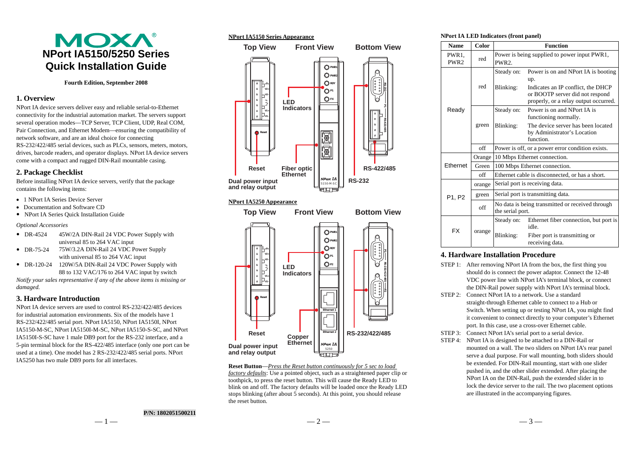# MOXA® **NPort IA5150/5250 Series Quick Installation Guide**

#### **Fourth Edition, September 2008**

## **1. Overview**

NPort IA device servers deliver easy and reliable serial-to-Ethernet connectivity for the industrial automation market. The servers support several operation modes—TCP Server, TCP Client, UDP, Real COM, Pair Connection, and Ethernet Modem—ensuring the compatibility of network software, and are an ideal choice for connecting RS-232/422/485 serial devices, such as PLCs, sensors, meters, motors, drives, barcode readers, and operator displays. NPort IA device servers come with a compact and rugged DIN-Rail mountable casing.

## **2. Package Checklist**

Before installing NPort IA device servers, verify that the package contains the following items:

- 1 NPort IA Series Device Server
- Documentation and Software CD
- NPort IA Series Quick Installation Guide

*Optional Accessories*

- $DR-4524$ 45W/2A DIN-Rail 24 VDC Power Supply with universal 85 to 264 VAC input
- $DR-75-24$ 75W/3.2A DIN-Rail 24 VDC Power Supply with universal 85 to 264 VAC input
- DR-120-24 120W/5A DIN-Rail 24 VDC Power Supply with 88 to 132 VAC/176 to 264 VAC input by switch

*Notify your sales representative if any of the above items is missing or damaged.* 

## **3. Hardware Introduction**

NPort IA device servers are used to control RS-232/422/485 devices for industrial automation environments. Six of the models have 1 RS-232/422/485 serial port. NPort IA5150, NPort IA5150I, NPort IA5150-M-SC, NPort IA5150I-M-SC, NPort IA5150-S-SC, and NPort IA5150I-S-SC have 1 male DB9 port for the RS-232 interface, and a 5-pin terminal block for the RS-422/485 interface (only one port can be used at a time). One model has 2 RS-232/422/485 serial ports. NPort IA5250 has two male DB9 ports for all interfaces.





#### **NPort IA5250 Appearance**



**Reset Button**—*Press the Reset button continuously for 5 sec to load factory defaults*: Use a pointed object, such as a straightened paper clip or toothpick, to press the reset button. This will cause the Ready LED to blink on and off. The factory defaults will be loaded once the Ready LED stops blinking (after about 5 seconds). At this point, you should release the reset button.

#### **NPort IA LED Indicators (front panel)**

| <b>Name</b>   | Color  | <b>Function</b>                                                      |                                                                                                                                                              |  |
|---------------|--------|----------------------------------------------------------------------|--------------------------------------------------------------------------------------------------------------------------------------------------------------|--|
| PWR1,<br>PWR2 | red    | Power is being supplied to power input PWR1,<br>PWR <sub>2</sub>     |                                                                                                                                                              |  |
|               | red    | Steady on:<br>Blinking:                                              | Power is on and NPort IA is booting<br>up.<br>Indicates an IP conflict, the DHCP<br>or BOOTP server did not respond<br>properly, or a relay output occurred. |  |
| Ready         | green  | Steady on:                                                           | Power is on and NPort IA is<br>functioning normally.                                                                                                         |  |
|               |        | Blinking:                                                            | The device server has been located<br>by Administrator's Location<br>function.                                                                               |  |
|               | off    | Power is off, or a power error condition exists.                     |                                                                                                                                                              |  |
| Ethernet      | Orange | 10 Mbps Ethernet connection.                                         |                                                                                                                                                              |  |
|               | Green  | 100 Mbps Ethernet connection.                                        |                                                                                                                                                              |  |
|               | off    | Ethernet cable is disconnected, or has a short.                      |                                                                                                                                                              |  |
|               | orange | Serial port is receiving data.                                       |                                                                                                                                                              |  |
| P1, P2        | green  | Serial port is transmitting data.                                    |                                                                                                                                                              |  |
|               | off    | No data is being transmitted or received through<br>the serial port. |                                                                                                                                                              |  |
| <b>FX</b>     | orange | Steady on:                                                           | Ethernet fiber connection, but port is<br>idle.                                                                                                              |  |
|               |        | Blinking:                                                            | Fiber port is transmitting or<br>receiving data.                                                                                                             |  |

#### **4. Hardware Installation Procedure**

- STEP 1: After removing NPort IA from the box, the first thing you should do is connect the power adaptor. Connect the 12-48 VDC power line with NPort IA's terminal block, or connect the DIN-Rail power supply with NPort IA's terminal block.
- STEP 2: Connect NPort IA to a network. Use a standard straight-through Ethernet cable to connect to a Hub or Switch. When setting up or testing NPort IA, you might find it convenient to connect directly to your computer's Ethernet port. In this case, use a cross-over Ethernet cable.
- STEP 3: Connect NPort IA's serial port to a serial device.
- STEP 4: NPort IA is designed to be attached to a DIN-Rail or mounted on a wall. The two sliders on NPort IA's rear panel serve a dual purpose. For wall mounting, both sliders should be extended. For DIN-Rail mounting, start with one slider pushed in, and the other slider extended. After placing the NPort IA on the DIN-Rail, push the extended slider in to lock the device server to the rail. The two placement options are illustrated in the accompanying figures.

## **P/N: 1802051500211**